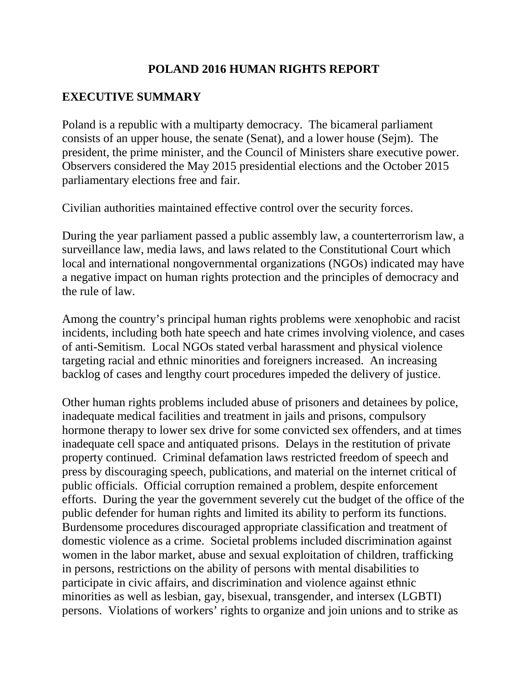### **POLAND 2016 HUMAN RIGHTS REPORT**

### **EXECUTIVE SUMMARY**

Poland is a republic with a multiparty democracy. The bicameral parliament consists of an upper house, the senate (Senat), and a lower house (Sejm). The president, the prime minister, and the Council of Ministers share executive power. Observers considered the May 2015 presidential elections and the October 2015 parliamentary elections free and fair.

Civilian authorities maintained effective control over the security forces.

During the year parliament passed a public assembly law, a counterterrorism law, a surveillance law, media laws, and laws related to the Constitutional Court which local and international nongovernmental organizations (NGOs) indicated may have a negative impact on human rights protection and the principles of democracy and the rule of law.

Among the country's principal human rights problems were xenophobic and racist incidents, including both hate speech and hate crimes involving violence, and cases of anti-Semitism. Local NGOs stated verbal harassment and physical violence targeting racial and ethnic minorities and foreigners increased. An increasing backlog of cases and lengthy court procedures impeded the delivery of justice.

Other human rights problems included abuse of prisoners and detainees by police, inadequate medical facilities and treatment in jails and prisons, compulsory hormone therapy to lower sex drive for some convicted sex offenders, and at times inadequate cell space and antiquated prisons. Delays in the restitution of private property continued. Criminal defamation laws restricted freedom of speech and press by discouraging speech, publications, and material on the internet critical of public officials. Official corruption remained a problem, despite enforcement efforts. During the year the government severely cut the budget of the office of the public defender for human rights and limited its ability to perform its functions. Burdensome procedures discouraged appropriate classification and treatment of domestic violence as a crime. Societal problems included discrimination against women in the labor market, abuse and sexual exploitation of children, trafficking in persons, restrictions on the ability of persons with mental disabilities to participate in civic affairs, and discrimination and violence against ethnic minorities as well as lesbian, gay, bisexual, transgender, and intersex (LGBTI) persons. Violations of workers' rights to organize and join unions and to strike as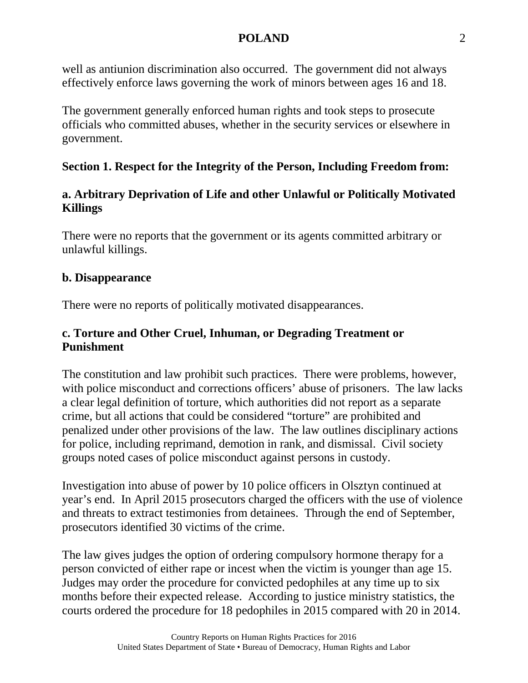well as antiunion discrimination also occurred. The government did not always effectively enforce laws governing the work of minors between ages 16 and 18.

The government generally enforced human rights and took steps to prosecute officials who committed abuses, whether in the security services or elsewhere in government.

### **Section 1. Respect for the Integrity of the Person, Including Freedom from:**

### **a. Arbitrary Deprivation of Life and other Unlawful or Politically Motivated Killings**

There were no reports that the government or its agents committed arbitrary or unlawful killings.

### **b. Disappearance**

There were no reports of politically motivated disappearances.

### **c. Torture and Other Cruel, Inhuman, or Degrading Treatment or Punishment**

The constitution and law prohibit such practices. There were problems, however, with police misconduct and corrections officers' abuse of prisoners. The law lacks a clear legal definition of torture, which authorities did not report as a separate crime, but all actions that could be considered "torture" are prohibited and penalized under other provisions of the law. The law outlines disciplinary actions for police, including reprimand, demotion in rank, and dismissal. Civil society groups noted cases of police misconduct against persons in custody.

Investigation into abuse of power by 10 police officers in Olsztyn continued at year's end. In April 2015 prosecutors charged the officers with the use of violence and threats to extract testimonies from detainees. Through the end of September, prosecutors identified 30 victims of the crime.

The law gives judges the option of ordering compulsory hormone therapy for a person convicted of either rape or incest when the victim is younger than age 15. Judges may order the procedure for convicted pedophiles at any time up to six months before their expected release. According to justice ministry statistics, the courts ordered the procedure for 18 pedophiles in 2015 compared with 20 in 2014.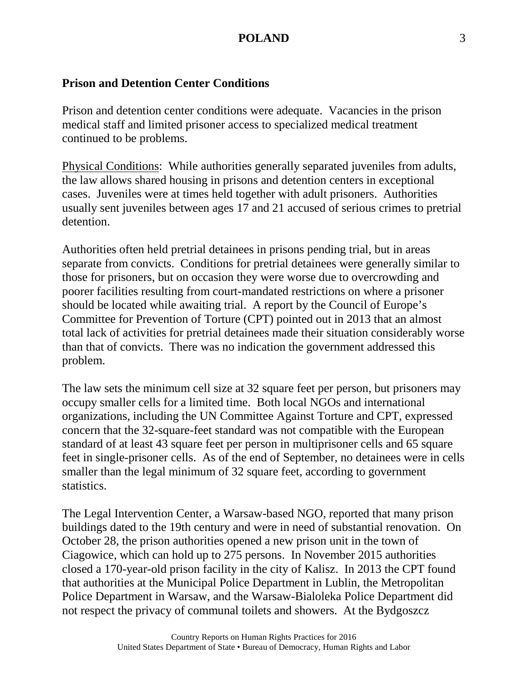### **Prison and Detention Center Conditions**

Prison and detention center conditions were adequate. Vacancies in the prison medical staff and limited prisoner access to specialized medical treatment continued to be problems.

Physical Conditions: While authorities generally separated juveniles from adults, the law allows shared housing in prisons and detention centers in exceptional cases. Juveniles were at times held together with adult prisoners. Authorities usually sent juveniles between ages 17 and 21 accused of serious crimes to pretrial detention.

Authorities often held pretrial detainees in prisons pending trial, but in areas separate from convicts. Conditions for pretrial detainees were generally similar to those for prisoners, but on occasion they were worse due to overcrowding and poorer facilities resulting from court-mandated restrictions on where a prisoner should be located while awaiting trial. A report by the Council of Europe's Committee for Prevention of Torture (CPT) pointed out in 2013 that an almost total lack of activities for pretrial detainees made their situation considerably worse than that of convicts. There was no indication the government addressed this problem.

The law sets the minimum cell size at 32 square feet per person, but prisoners may occupy smaller cells for a limited time. Both local NGOs and international organizations, including the UN Committee Against Torture and CPT, expressed concern that the 32-square-feet standard was not compatible with the European standard of at least 43 square feet per person in multiprisoner cells and 65 square feet in single-prisoner cells. As of the end of September, no detainees were in cells smaller than the legal minimum of 32 square feet, according to government statistics.

The Legal Intervention Center, a Warsaw-based NGO, reported that many prison buildings dated to the 19th century and were in need of substantial renovation. On October 28, the prison authorities opened a new prison unit in the town of Ciagowice, which can hold up to 275 persons. In November 2015 authorities closed a 170-year-old prison facility in the city of Kalisz. In 2013 the CPT found that authorities at the Municipal Police Department in Lublin, the Metropolitan Police Department in Warsaw, and the Warsaw-Bialoleka Police Department did not respect the privacy of communal toilets and showers. At the Bydgoszcz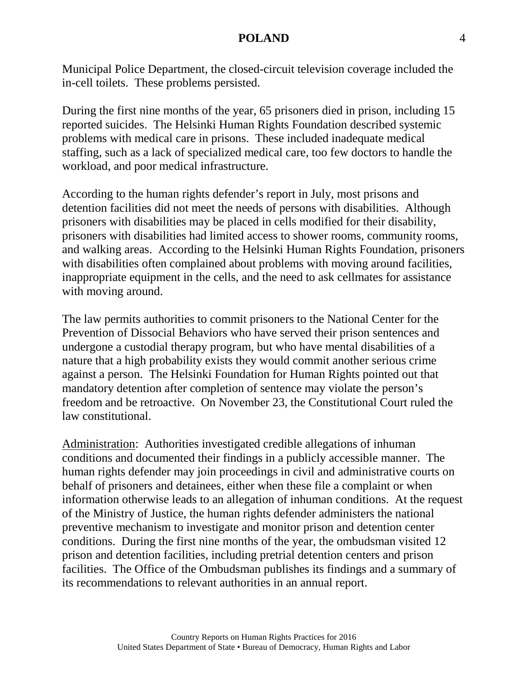Municipal Police Department, the closed-circuit television coverage included the in-cell toilets. These problems persisted.

During the first nine months of the year, 65 prisoners died in prison, including 15 reported suicides. The Helsinki Human Rights Foundation described systemic problems with medical care in prisons. These included inadequate medical staffing, such as a lack of specialized medical care, too few doctors to handle the workload, and poor medical infrastructure.

According to the human rights defender's report in July, most prisons and detention facilities did not meet the needs of persons with disabilities. Although prisoners with disabilities may be placed in cells modified for their disability, prisoners with disabilities had limited access to shower rooms, community rooms, and walking areas. According to the Helsinki Human Rights Foundation, prisoners with disabilities often complained about problems with moving around facilities, inappropriate equipment in the cells, and the need to ask cellmates for assistance with moving around.

The law permits authorities to commit prisoners to the National Center for the Prevention of Dissocial Behaviors who have served their prison sentences and undergone a custodial therapy program, but who have mental disabilities of a nature that a high probability exists they would commit another serious crime against a person. The Helsinki Foundation for Human Rights pointed out that mandatory detention after completion of sentence may violate the person's freedom and be retroactive. On November 23, the Constitutional Court ruled the law constitutional.

Administration: Authorities investigated credible allegations of inhuman conditions and documented their findings in a publicly accessible manner. The human rights defender may join proceedings in civil and administrative courts on behalf of prisoners and detainees, either when these file a complaint or when information otherwise leads to an allegation of inhuman conditions. At the request of the Ministry of Justice, the human rights defender administers the national preventive mechanism to investigate and monitor prison and detention center conditions. During the first nine months of the year, the ombudsman visited 12 prison and detention facilities, including pretrial detention centers and prison facilities. The Office of the Ombudsman publishes its findings and a summary of its recommendations to relevant authorities in an annual report.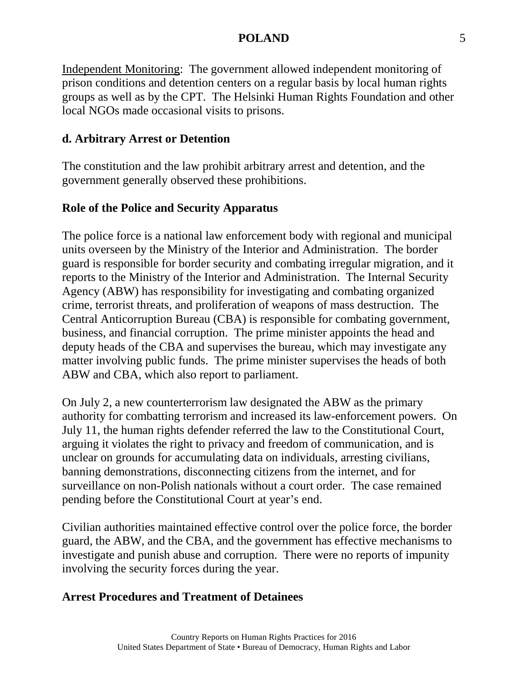Independent Monitoring: The government allowed independent monitoring of prison conditions and detention centers on a regular basis by local human rights groups as well as by the CPT. The Helsinki Human Rights Foundation and other local NGOs made occasional visits to prisons.

### **d. Arbitrary Arrest or Detention**

The constitution and the law prohibit arbitrary arrest and detention, and the government generally observed these prohibitions.

### **Role of the Police and Security Apparatus**

The police force is a national law enforcement body with regional and municipal units overseen by the Ministry of the Interior and Administration. The border guard is responsible for border security and combating irregular migration, and it reports to the Ministry of the Interior and Administration. The Internal Security Agency (ABW) has responsibility for investigating and combating organized crime, terrorist threats, and proliferation of weapons of mass destruction. The Central Anticorruption Bureau (CBA) is responsible for combating government, business, and financial corruption. The prime minister appoints the head and deputy heads of the CBA and supervises the bureau, which may investigate any matter involving public funds. The prime minister supervises the heads of both ABW and CBA, which also report to parliament.

On July 2, a new counterterrorism law designated the ABW as the primary authority for combatting terrorism and increased its law-enforcement powers. On July 11, the human rights defender referred the law to the Constitutional Court, arguing it violates the right to privacy and freedom of communication, and is unclear on grounds for accumulating data on individuals, arresting civilians, banning demonstrations, disconnecting citizens from the internet, and for surveillance on non-Polish nationals without a court order. The case remained pending before the Constitutional Court at year's end.

Civilian authorities maintained effective control over the police force, the border guard, the ABW, and the CBA, and the government has effective mechanisms to investigate and punish abuse and corruption. There were no reports of impunity involving the security forces during the year.

#### **Arrest Procedures and Treatment of Detainees**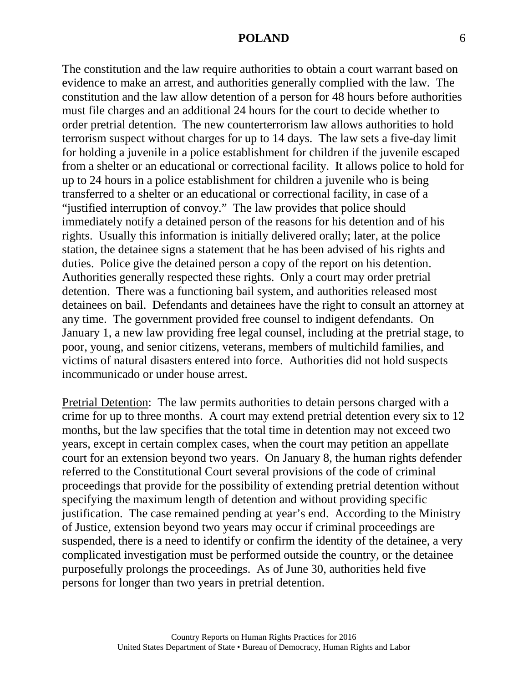The constitution and the law require authorities to obtain a court warrant based on evidence to make an arrest, and authorities generally complied with the law. The constitution and the law allow detention of a person for 48 hours before authorities must file charges and an additional 24 hours for the court to decide whether to order pretrial detention. The new counterterrorism law allows authorities to hold terrorism suspect without charges for up to 14 days. The law sets a five-day limit for holding a juvenile in a police establishment for children if the juvenile escaped from a shelter or an educational or correctional facility. It allows police to hold for up to 24 hours in a police establishment for children a juvenile who is being transferred to a shelter or an educational or correctional facility, in case of a "justified interruption of convoy." The law provides that police should immediately notify a detained person of the reasons for his detention and of his rights. Usually this information is initially delivered orally; later, at the police station, the detainee signs a statement that he has been advised of his rights and duties. Police give the detained person a copy of the report on his detention. Authorities generally respected these rights. Only a court may order pretrial detention. There was a functioning bail system, and authorities released most detainees on bail. Defendants and detainees have the right to consult an attorney at any time. The government provided free counsel to indigent defendants. On January 1, a new law providing free legal counsel, including at the pretrial stage, to poor, young, and senior citizens, veterans, members of multichild families, and victims of natural disasters entered into force. Authorities did not hold suspects incommunicado or under house arrest.

Pretrial Detention: The law permits authorities to detain persons charged with a crime for up to three months. A court may extend pretrial detention every six to 12 months, but the law specifies that the total time in detention may not exceed two years, except in certain complex cases, when the court may petition an appellate court for an extension beyond two years. On January 8, the human rights defender referred to the Constitutional Court several provisions of the code of criminal proceedings that provide for the possibility of extending pretrial detention without specifying the maximum length of detention and without providing specific justification. The case remained pending at year's end. According to the Ministry of Justice, extension beyond two years may occur if criminal proceedings are suspended, there is a need to identify or confirm the identity of the detainee, a very complicated investigation must be performed outside the country, or the detainee purposefully prolongs the proceedings. As of June 30, authorities held five persons for longer than two years in pretrial detention.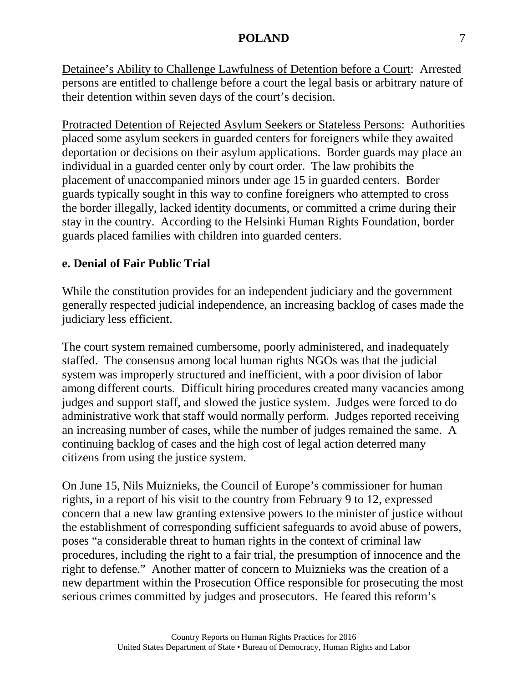Detainee's Ability to Challenge Lawfulness of Detention before a Court: Arrested persons are entitled to challenge before a court the legal basis or arbitrary nature of their detention within seven days of the court's decision.

Protracted Detention of Rejected Asylum Seekers or Stateless Persons: Authorities placed some asylum seekers in guarded centers for foreigners while they awaited deportation or decisions on their asylum applications. Border guards may place an individual in a guarded center only by court order. The law prohibits the placement of unaccompanied minors under age 15 in guarded centers. Border guards typically sought in this way to confine foreigners who attempted to cross the border illegally, lacked identity documents, or committed a crime during their stay in the country. According to the Helsinki Human Rights Foundation, border guards placed families with children into guarded centers.

### **e. Denial of Fair Public Trial**

While the constitution provides for an independent judiciary and the government generally respected judicial independence, an increasing backlog of cases made the judiciary less efficient.

The court system remained cumbersome, poorly administered, and inadequately staffed. The consensus among local human rights NGOs was that the judicial system was improperly structured and inefficient, with a poor division of labor among different courts. Difficult hiring procedures created many vacancies among judges and support staff, and slowed the justice system. Judges were forced to do administrative work that staff would normally perform. Judges reported receiving an increasing number of cases, while the number of judges remained the same. A continuing backlog of cases and the high cost of legal action deterred many citizens from using the justice system.

On June 15, Nils Muiznieks, the Council of Europe's commissioner for human rights, in a report of his visit to the country from February 9 to 12, expressed concern that a new law granting extensive powers to the minister of justice without the establishment of corresponding sufficient safeguards to avoid abuse of powers, poses "a considerable threat to human rights in the context of criminal law procedures, including the right to a fair trial, the presumption of innocence and the right to defense." Another matter of concern to Muiznieks was the creation of a new department within the Prosecution Office responsible for prosecuting the most serious crimes committed by judges and prosecutors. He feared this reform's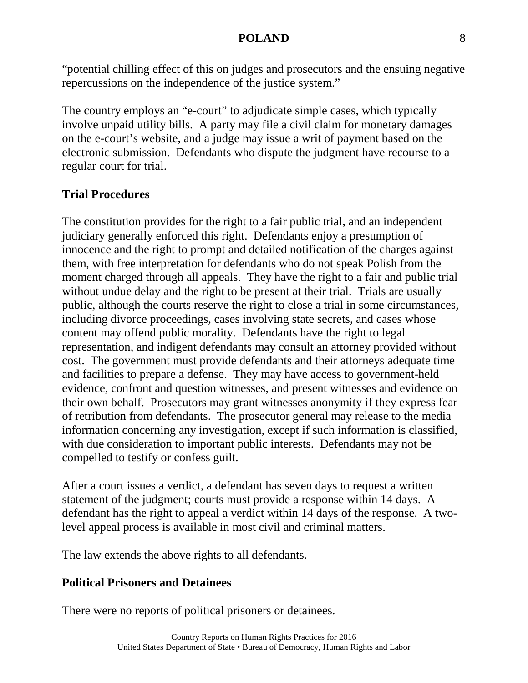"potential chilling effect of this on judges and prosecutors and the ensuing negative repercussions on the independence of the justice system."

The country employs an "e-court" to adjudicate simple cases, which typically involve unpaid utility bills. A party may file a civil claim for monetary damages on the e-court's website, and a judge may issue a writ of payment based on the electronic submission. Defendants who dispute the judgment have recourse to a regular court for trial.

## **Trial Procedures**

The constitution provides for the right to a fair public trial, and an independent judiciary generally enforced this right. Defendants enjoy a presumption of innocence and the right to prompt and detailed notification of the charges against them, with free interpretation for defendants who do not speak Polish from the moment charged through all appeals. They have the right to a fair and public trial without undue delay and the right to be present at their trial. Trials are usually public, although the courts reserve the right to close a trial in some circumstances, including divorce proceedings, cases involving state secrets, and cases whose content may offend public morality. Defendants have the right to legal representation, and indigent defendants may consult an attorney provided without cost. The government must provide defendants and their attorneys adequate time and facilities to prepare a defense. They may have access to government-held evidence, confront and question witnesses, and present witnesses and evidence on their own behalf. Prosecutors may grant witnesses anonymity if they express fear of retribution from defendants. The prosecutor general may release to the media information concerning any investigation, except if such information is classified, with due consideration to important public interests. Defendants may not be compelled to testify or confess guilt.

After a court issues a verdict, a defendant has seven days to request a written statement of the judgment; courts must provide a response within 14 days. A defendant has the right to appeal a verdict within 14 days of the response. A twolevel appeal process is available in most civil and criminal matters.

The law extends the above rights to all defendants.

### **Political Prisoners and Detainees**

There were no reports of political prisoners or detainees.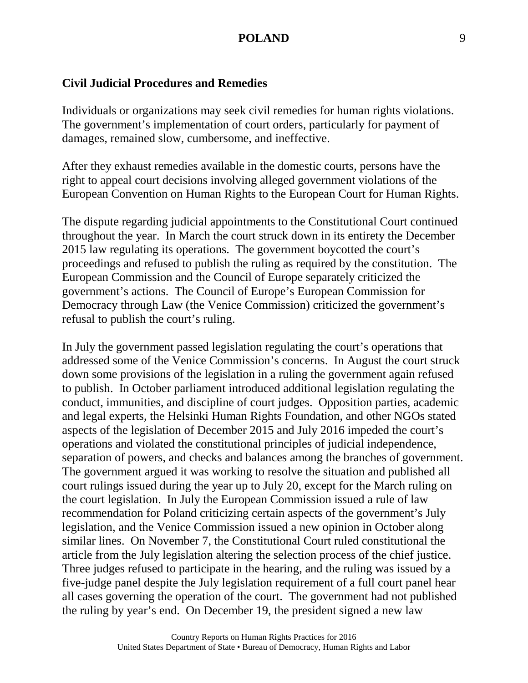#### **Civil Judicial Procedures and Remedies**

Individuals or organizations may seek civil remedies for human rights violations. The government's implementation of court orders, particularly for payment of damages, remained slow, cumbersome, and ineffective.

After they exhaust remedies available in the domestic courts, persons have the right to appeal court decisions involving alleged government violations of the European Convention on Human Rights to the European Court for Human Rights.

The dispute regarding judicial appointments to the Constitutional Court continued throughout the year. In March the court struck down in its entirety the December 2015 law regulating its operations. The government boycotted the court's proceedings and refused to publish the ruling as required by the constitution. The European Commission and the Council of Europe separately criticized the government's actions. The Council of Europe's European Commission for Democracy through Law (the Venice Commission) criticized the government's refusal to publish the court's ruling.

In July the government passed legislation regulating the court's operations that addressed some of the Venice Commission's concerns. In August the court struck down some provisions of the legislation in a ruling the government again refused to publish. In October parliament introduced additional legislation regulating the conduct, immunities, and discipline of court judges. Opposition parties, academic and legal experts, the Helsinki Human Rights Foundation, and other NGOs stated aspects of the legislation of December 2015 and July 2016 impeded the court's operations and violated the constitutional principles of judicial independence, separation of powers, and checks and balances among the branches of government. The government argued it was working to resolve the situation and published all court rulings issued during the year up to July 20, except for the March ruling on the court legislation. In July the European Commission issued a rule of law recommendation for Poland criticizing certain aspects of the government's July legislation, and the Venice Commission issued a new opinion in October along similar lines. On November 7, the Constitutional Court ruled constitutional the article from the July legislation altering the selection process of the chief justice. Three judges refused to participate in the hearing, and the ruling was issued by a five-judge panel despite the July legislation requirement of a full court panel hear all cases governing the operation of the court. The government had not published the ruling by year's end. On December 19, the president signed a new law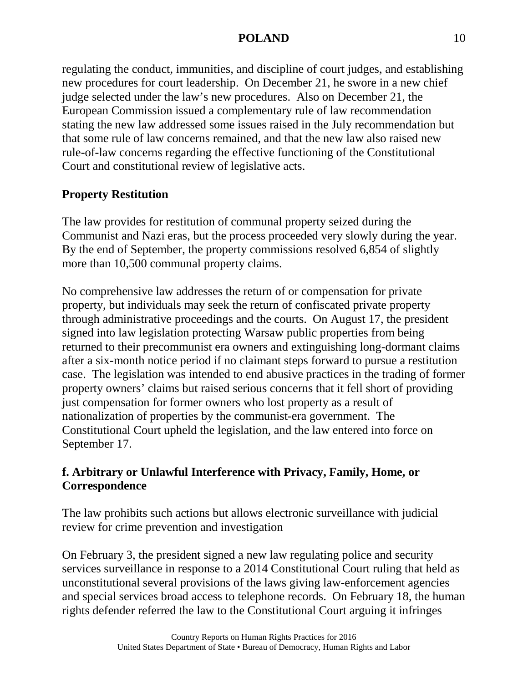regulating the conduct, immunities, and discipline of court judges, and establishing new procedures for court leadership. On December 21, he swore in a new chief judge selected under the law's new procedures. Also on December 21, the European Commission issued a complementary rule of law recommendation stating the new law addressed some issues raised in the July recommendation but that some rule of law concerns remained, and that the new law also raised new rule-of-law concerns regarding the effective functioning of the Constitutional Court and constitutional review of legislative acts.

## **Property Restitution**

The law provides for restitution of communal property seized during the Communist and Nazi eras, but the process proceeded very slowly during the year. By the end of September, the property commissions resolved 6,854 of slightly more than 10,500 communal property claims.

No comprehensive law addresses the return of or compensation for private property, but individuals may seek the return of confiscated private property through administrative proceedings and the courts. On August 17, the president signed into law legislation protecting Warsaw public properties from being returned to their precommunist era owners and extinguishing long-dormant claims after a six-month notice period if no claimant steps forward to pursue a restitution case. The legislation was intended to end abusive practices in the trading of former property owners' claims but raised serious concerns that it fell short of providing just compensation for former owners who lost property as a result of nationalization of properties by the communist-era government. The Constitutional Court upheld the legislation, and the law entered into force on September 17.

### **f. Arbitrary or Unlawful Interference with Privacy, Family, Home, or Correspondence**

The law prohibits such actions but allows electronic surveillance with judicial review for crime prevention and investigation

On February 3, the president signed a new law regulating police and security services surveillance in response to a 2014 Constitutional Court ruling that held as unconstitutional several provisions of the laws giving law-enforcement agencies and special services broad access to telephone records. On February 18, the human rights defender referred the law to the Constitutional Court arguing it infringes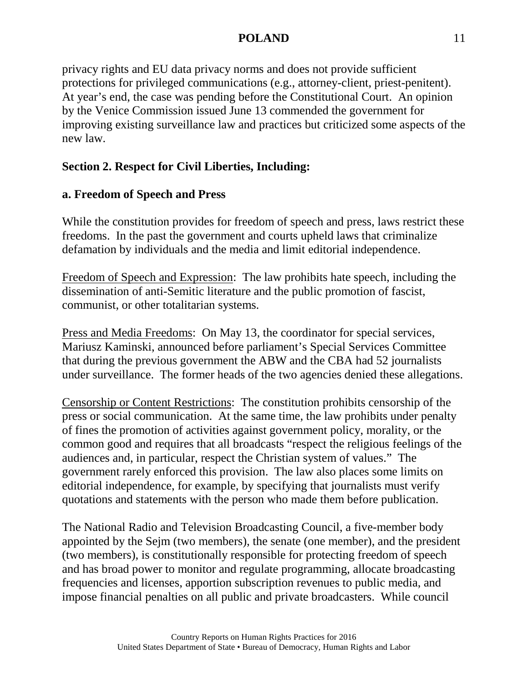privacy rights and EU data privacy norms and does not provide sufficient protections for privileged communications (e.g., attorney-client, priest-penitent). At year's end, the case was pending before the Constitutional Court. An opinion by the Venice Commission issued June 13 commended the government for improving existing surveillance law and practices but criticized some aspects of the new law.

### **Section 2. Respect for Civil Liberties, Including:**

### **a. Freedom of Speech and Press**

While the constitution provides for freedom of speech and press, laws restrict these freedoms. In the past the government and courts upheld laws that criminalize defamation by individuals and the media and limit editorial independence.

Freedom of Speech and Expression: The law prohibits hate speech, including the dissemination of anti-Semitic literature and the public promotion of fascist, communist, or other totalitarian systems.

Press and Media Freedoms: On May 13, the coordinator for special services, Mariusz Kaminski, announced before parliament's Special Services Committee that during the previous government the ABW and the CBA had 52 journalists under surveillance. The former heads of the two agencies denied these allegations.

Censorship or Content Restrictions: The constitution prohibits censorship of the press or social communication. At the same time, the law prohibits under penalty of fines the promotion of activities against government policy, morality, or the common good and requires that all broadcasts "respect the religious feelings of the audiences and, in particular, respect the Christian system of values." The government rarely enforced this provision. The law also places some limits on editorial independence, for example, by specifying that journalists must verify quotations and statements with the person who made them before publication.

The National Radio and Television Broadcasting Council, a five-member body appointed by the Sejm (two members), the senate (one member), and the president (two members), is constitutionally responsible for protecting freedom of speech and has broad power to monitor and regulate programming, allocate broadcasting frequencies and licenses, apportion subscription revenues to public media, and impose financial penalties on all public and private broadcasters. While council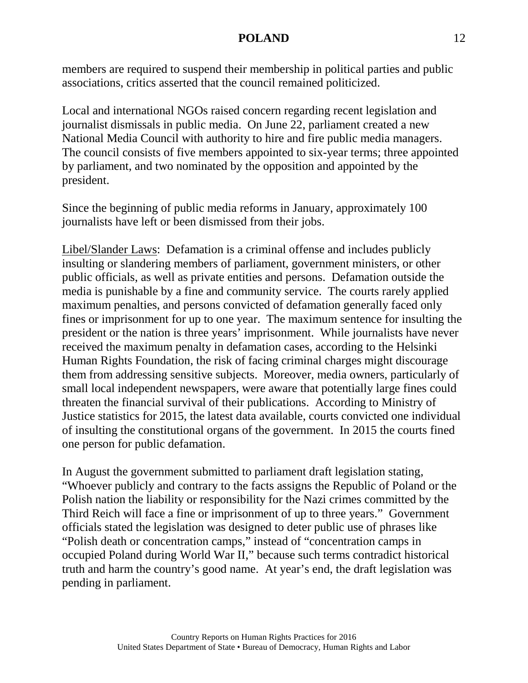members are required to suspend their membership in political parties and public associations, critics asserted that the council remained politicized.

Local and international NGOs raised concern regarding recent legislation and journalist dismissals in public media. On June 22, parliament created a new National Media Council with authority to hire and fire public media managers. The council consists of five members appointed to six-year terms; three appointed by parliament, and two nominated by the opposition and appointed by the president.

Since the beginning of public media reforms in January, approximately 100 journalists have left or been dismissed from their jobs.

Libel/Slander Laws: Defamation is a criminal offense and includes publicly insulting or slandering members of parliament, government ministers, or other public officials, as well as private entities and persons. Defamation outside the media is punishable by a fine and community service. The courts rarely applied maximum penalties, and persons convicted of defamation generally faced only fines or imprisonment for up to one year. The maximum sentence for insulting the president or the nation is three years' imprisonment. While journalists have never received the maximum penalty in defamation cases, according to the Helsinki Human Rights Foundation, the risk of facing criminal charges might discourage them from addressing sensitive subjects. Moreover, media owners, particularly of small local independent newspapers, were aware that potentially large fines could threaten the financial survival of their publications. According to Ministry of Justice statistics for 2015, the latest data available, courts convicted one individual of insulting the constitutional organs of the government. In 2015 the courts fined one person for public defamation.

In August the government submitted to parliament draft legislation stating, "Whoever publicly and contrary to the facts assigns the Republic of Poland or the Polish nation the liability or responsibility for the Nazi crimes committed by the Third Reich will face a fine or imprisonment of up to three years." Government officials stated the legislation was designed to deter public use of phrases like "Polish death or concentration camps," instead of "concentration camps in occupied Poland during World War II," because such terms contradict historical truth and harm the country's good name. At year's end, the draft legislation was pending in parliament.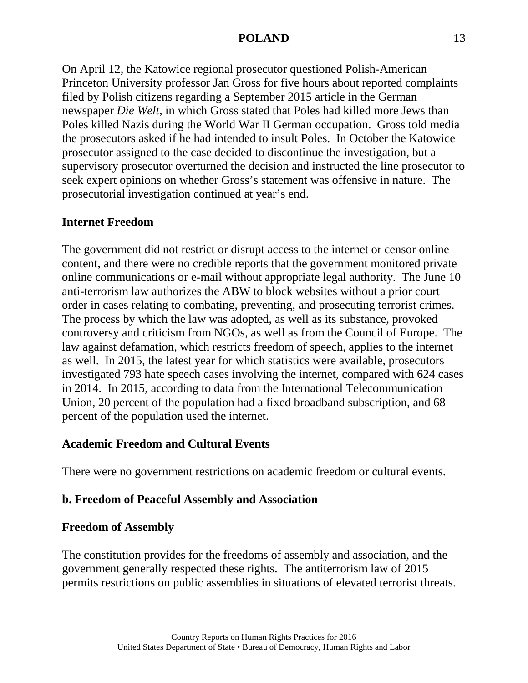On April 12, the Katowice regional prosecutor questioned Polish-American Princeton University professor Jan Gross for five hours about reported complaints filed by Polish citizens regarding a September 2015 article in the German newspaper *Die Welt*, in which Gross stated that Poles had killed more Jews than Poles killed Nazis during the World War II German occupation. Gross told media the prosecutors asked if he had intended to insult Poles. In October the Katowice prosecutor assigned to the case decided to discontinue the investigation, but a supervisory prosecutor overturned the decision and instructed the line prosecutor to seek expert opinions on whether Gross's statement was offensive in nature. The prosecutorial investigation continued at year's end.

#### **Internet Freedom**

The government did not restrict or disrupt access to the internet or censor online content, and there were no credible reports that the government monitored private online communications or e-mail without appropriate legal authority. The June 10 anti-terrorism law authorizes the ABW to block websites without a prior court order in cases relating to combating, preventing, and prosecuting terrorist crimes. The process by which the law was adopted, as well as its substance, provoked controversy and criticism from NGOs, as well as from the Council of Europe. The law against defamation, which restricts freedom of speech, applies to the internet as well. In 2015, the latest year for which statistics were available, prosecutors investigated 793 hate speech cases involving the internet, compared with 624 cases in 2014. In 2015, according to data from the International Telecommunication Union, 20 percent of the population had a fixed broadband subscription, and 68 percent of the population used the internet.

#### **Academic Freedom and Cultural Events**

There were no government restrictions on academic freedom or cultural events.

### **b. Freedom of Peaceful Assembly and Association**

#### **Freedom of Assembly**

The constitution provides for the freedoms of assembly and association, and the government generally respected these rights. The antiterrorism law of 2015 permits restrictions on public assemblies in situations of elevated terrorist threats.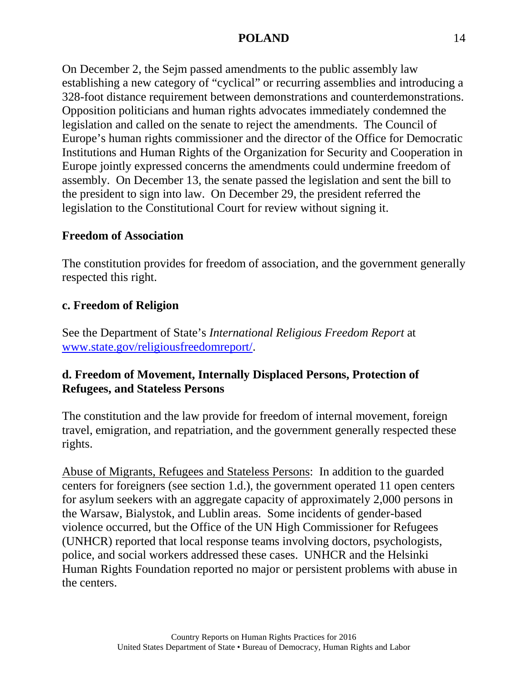On December 2, the Sejm passed amendments to the public assembly law establishing a new category of "cyclical" or recurring assemblies and introducing a 328-foot distance requirement between demonstrations and counterdemonstrations. Opposition politicians and human rights advocates immediately condemned the legislation and called on the senate to reject the amendments. The Council of Europe's human rights commissioner and the director of the Office for Democratic Institutions and Human Rights of the Organization for Security and Cooperation in Europe jointly expressed concerns the amendments could undermine freedom of assembly. On December 13, the senate passed the legislation and sent the bill to the president to sign into law. On December 29, the president referred the legislation to the Constitutional Court for review without signing it.

### **Freedom of Association**

The constitution provides for freedom of association, and the government generally respected this right.

### **c. Freedom of Religion**

See the Department of State's *International Religious Freedom Report* at [www.state.gov/religiousfreedomreport/.](http://www.state.gov/religiousfreedomreport/)

### **d. Freedom of Movement, Internally Displaced Persons, Protection of Refugees, and Stateless Persons**

The constitution and the law provide for freedom of internal movement, foreign travel, emigration, and repatriation, and the government generally respected these rights.

Abuse of Migrants, Refugees and Stateless Persons: In addition to the guarded centers for foreigners (see section 1.d.), the government operated 11 open centers for asylum seekers with an aggregate capacity of approximately 2,000 persons in the Warsaw, Bialystok, and Lublin areas. Some incidents of gender-based violence occurred, but the Office of the UN High Commissioner for Refugees (UNHCR) reported that local response teams involving doctors, psychologists, police, and social workers addressed these cases. UNHCR and the Helsinki Human Rights Foundation reported no major or persistent problems with abuse in the centers.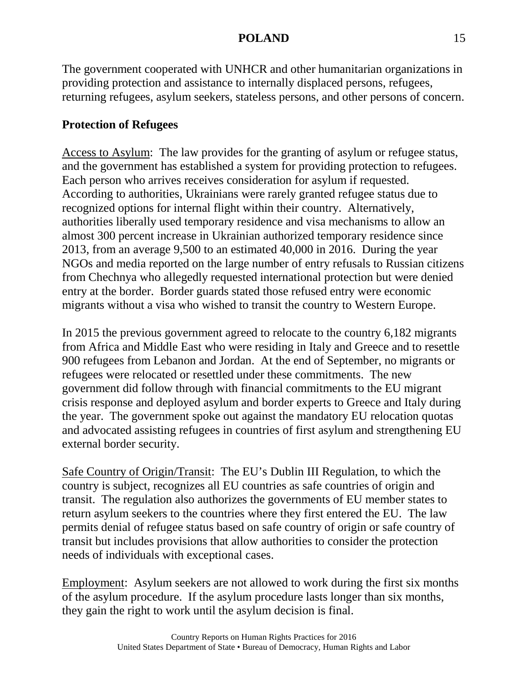The government cooperated with UNHCR and other humanitarian organizations in providing protection and assistance to internally displaced persons, refugees, returning refugees, asylum seekers, stateless persons, and other persons of concern.

## **Protection of Refugees**

Access to Asylum: The law provides for the granting of asylum or refugee status, and the government has established a system for providing protection to refugees. Each person who arrives receives consideration for asylum if requested. According to authorities, Ukrainians were rarely granted refugee status due to recognized options for internal flight within their country. Alternatively, authorities liberally used temporary residence and visa mechanisms to allow an almost 300 percent increase in Ukrainian authorized temporary residence since 2013, from an average 9,500 to an estimated 40,000 in 2016. During the year NGOs and media reported on the large number of entry refusals to Russian citizens from Chechnya who allegedly requested international protection but were denied entry at the border. Border guards stated those refused entry were economic migrants without a visa who wished to transit the country to Western Europe.

In 2015 the previous government agreed to relocate to the country 6,182 migrants from Africa and Middle East who were residing in Italy and Greece and to resettle 900 refugees from Lebanon and Jordan. At the end of September, no migrants or refugees were relocated or resettled under these commitments. The new government did follow through with financial commitments to the EU migrant crisis response and deployed asylum and border experts to Greece and Italy during the year. The government spoke out against the mandatory EU relocation quotas and advocated assisting refugees in countries of first asylum and strengthening EU external border security.

Safe Country of Origin/Transit: The EU's Dublin III Regulation, to which the country is subject, recognizes all EU countries as safe countries of origin and transit. The regulation also authorizes the governments of EU member states to return asylum seekers to the countries where they first entered the EU. The law permits denial of refugee status based on safe country of origin or safe country of transit but includes provisions that allow authorities to consider the protection needs of individuals with exceptional cases.

Employment: Asylum seekers are not allowed to work during the first six months of the asylum procedure. If the asylum procedure lasts longer than six months, they gain the right to work until the asylum decision is final.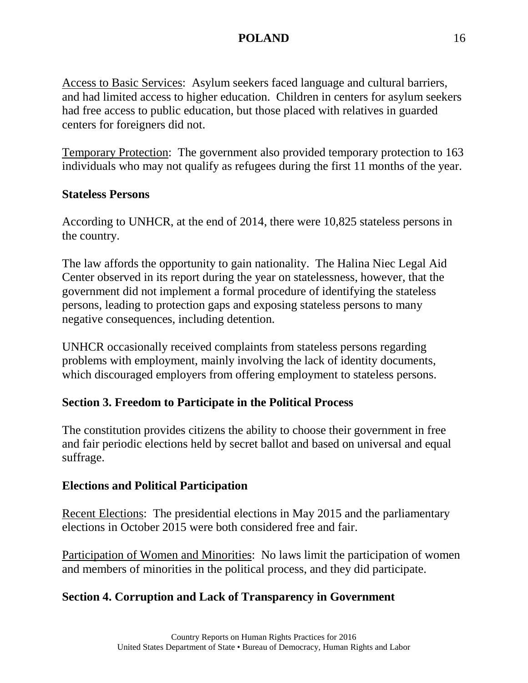Access to Basic Services: Asylum seekers faced language and cultural barriers, and had limited access to higher education. Children in centers for asylum seekers had free access to public education, but those placed with relatives in guarded centers for foreigners did not.

Temporary Protection: The government also provided temporary protection to 163 individuals who may not qualify as refugees during the first 11 months of the year.

### **Stateless Persons**

According to UNHCR, at the end of 2014, there were 10,825 stateless persons in the country.

The law affords the opportunity to gain nationality. The Halina Niec Legal Aid Center observed in its report during the year on statelessness, however, that the government did not implement a formal procedure of identifying the stateless persons, leading to protection gaps and exposing stateless persons to many negative consequences, including detention.

UNHCR occasionally received complaints from stateless persons regarding problems with employment, mainly involving the lack of identity documents, which discouraged employers from offering employment to stateless persons.

## **Section 3. Freedom to Participate in the Political Process**

The constitution provides citizens the ability to choose their government in free and fair periodic elections held by secret ballot and based on universal and equal suffrage.

### **Elections and Political Participation**

Recent Elections: The presidential elections in May 2015 and the parliamentary elections in October 2015 were both considered free and fair.

Participation of Women and Minorities: No laws limit the participation of women and members of minorities in the political process, and they did participate.

## **Section 4. Corruption and Lack of Transparency in Government**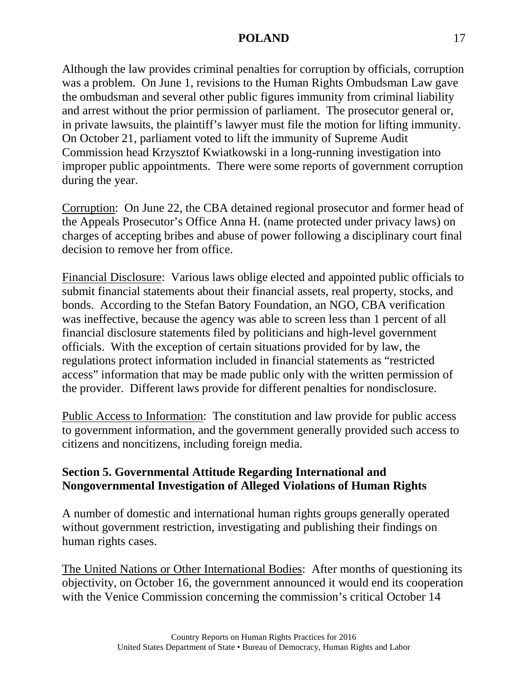Although the law provides criminal penalties for corruption by officials, corruption was a problem. On June 1, revisions to the Human Rights Ombudsman Law gave the ombudsman and several other public figures immunity from criminal liability and arrest without the prior permission of parliament. The prosecutor general or, in private lawsuits, the plaintiff's lawyer must file the motion for lifting immunity. On October 21, parliament voted to lift the immunity of Supreme Audit Commission head Krzysztof Kwiatkowski in a long-running investigation into improper public appointments. There were some reports of government corruption during the year.

Corruption: On June 22, the CBA detained regional prosecutor and former head of the Appeals Prosecutor's Office Anna H. (name protected under privacy laws) on charges of accepting bribes and abuse of power following a disciplinary court final decision to remove her from office.

Financial Disclosure: Various laws oblige elected and appointed public officials to submit financial statements about their financial assets, real property, stocks, and bonds. According to the Stefan Batory Foundation, an NGO, CBA verification was ineffective, because the agency was able to screen less than 1 percent of all financial disclosure statements filed by politicians and high-level government officials. With the exception of certain situations provided for by law, the regulations protect information included in financial statements as "restricted access" information that may be made public only with the written permission of the provider. Different laws provide for different penalties for nondisclosure.

Public Access to Information: The constitution and law provide for public access to government information, and the government generally provided such access to citizens and noncitizens, including foreign media.

### **Section 5. Governmental Attitude Regarding International and Nongovernmental Investigation of Alleged Violations of Human Rights**

A number of domestic and international human rights groups generally operated without government restriction, investigating and publishing their findings on human rights cases.

The United Nations or Other International Bodies: After months of questioning its objectivity, on October 16, the government announced it would end its cooperation with the Venice Commission concerning the commission's critical October 14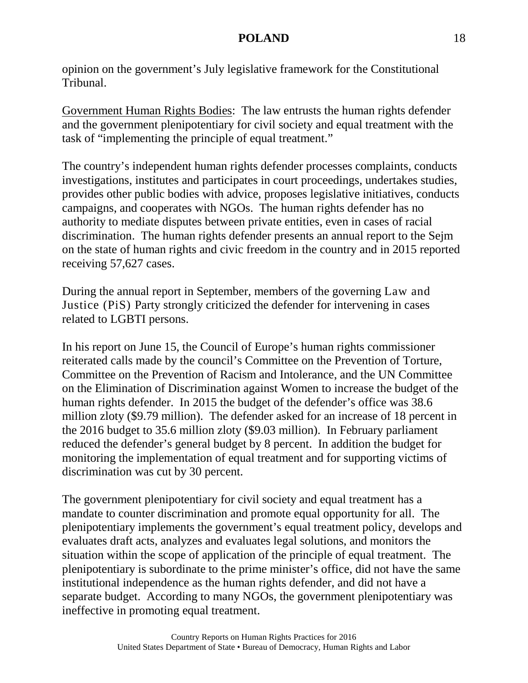opinion on the government's July legislative framework for the Constitutional Tribunal.

Government Human Rights Bodies: The law entrusts the human rights defender and the government plenipotentiary for civil society and equal treatment with the task of "implementing the principle of equal treatment."

The country's independent human rights defender processes complaints, conducts investigations, institutes and participates in court proceedings, undertakes studies, provides other public bodies with advice, proposes legislative initiatives, conducts campaigns, and cooperates with NGOs. The human rights defender has no authority to mediate disputes between private entities, even in cases of racial discrimination. The human rights defender presents an annual report to the Sejm on the state of human rights and civic freedom in the country and in 2015 reported receiving 57,627 cases.

During the annual report in September, members of the governing Law and Justice (PiS) Party strongly criticized the defender for intervening in cases related to LGBTI persons.

In his report on June 15, the Council of Europe's human rights commissioner reiterated calls made by the council's Committee on the Prevention of Torture, Committee on the Prevention of Racism and Intolerance, and the UN Committee on the Elimination of Discrimination against Women to increase the budget of the human rights defender. In 2015 the budget of the defender's office was 38.6 million zloty (\$9.79 million). The defender asked for an increase of 18 percent in the 2016 budget to 35.6 million zloty (\$9.03 million). In February parliament reduced the defender's general budget by 8 percent. In addition the budget for monitoring the implementation of equal treatment and for supporting victims of discrimination was cut by 30 percent.

The government plenipotentiary for civil society and equal treatment has a mandate to counter discrimination and promote equal opportunity for all. The plenipotentiary implements the government's equal treatment policy, develops and evaluates draft acts, analyzes and evaluates legal solutions, and monitors the situation within the scope of application of the principle of equal treatment. The plenipotentiary is subordinate to the prime minister's office, did not have the same institutional independence as the human rights defender, and did not have a separate budget. According to many NGOs, the government plenipotentiary was ineffective in promoting equal treatment.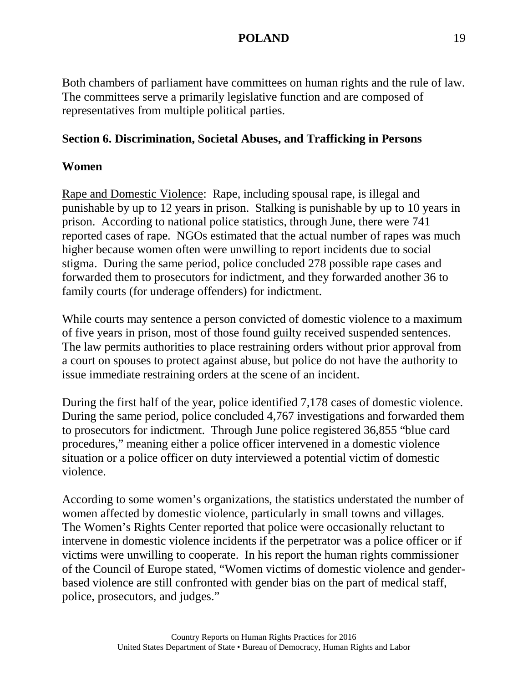Both chambers of parliament have committees on human rights and the rule of law. The committees serve a primarily legislative function and are composed of representatives from multiple political parties.

### **Section 6. Discrimination, Societal Abuses, and Trafficking in Persons**

#### **Women**

Rape and Domestic Violence: Rape, including spousal rape, is illegal and punishable by up to 12 years in prison. Stalking is punishable by up to 10 years in prison. According to national police statistics, through June, there were 741 reported cases of rape. NGOs estimated that the actual number of rapes was much higher because women often were unwilling to report incidents due to social stigma. During the same period, police concluded 278 possible rape cases and forwarded them to prosecutors for indictment, and they forwarded another 36 to family courts (for underage offenders) for indictment.

While courts may sentence a person convicted of domestic violence to a maximum of five years in prison, most of those found guilty received suspended sentences. The law permits authorities to place restraining orders without prior approval from a court on spouses to protect against abuse, but police do not have the authority to issue immediate restraining orders at the scene of an incident.

During the first half of the year, police identified 7,178 cases of domestic violence. During the same period, police concluded 4,767 investigations and forwarded them to prosecutors for indictment. Through June police registered 36,855 "blue card procedures," meaning either a police officer intervened in a domestic violence situation or a police officer on duty interviewed a potential victim of domestic violence.

According to some women's organizations, the statistics understated the number of women affected by domestic violence, particularly in small towns and villages. The Women's Rights Center reported that police were occasionally reluctant to intervene in domestic violence incidents if the perpetrator was a police officer or if victims were unwilling to cooperate. In his report the human rights commissioner of the Council of Europe stated, "Women victims of domestic violence and genderbased violence are still confronted with gender bias on the part of medical staff, police, prosecutors, and judges."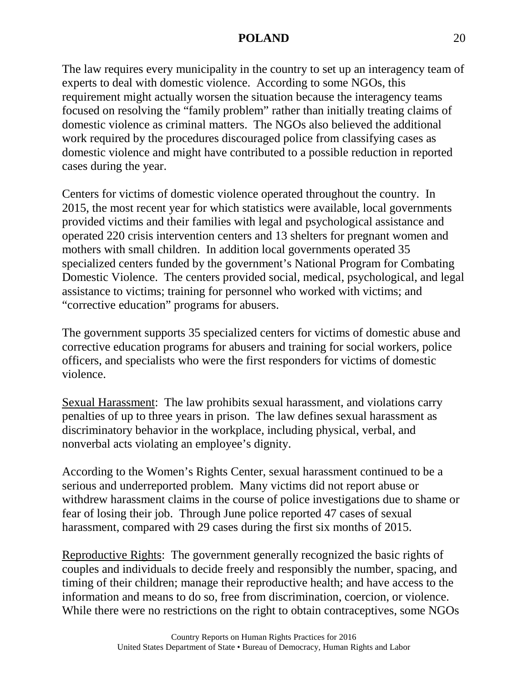The law requires every municipality in the country to set up an interagency team of experts to deal with domestic violence. According to some NGOs, this requirement might actually worsen the situation because the interagency teams focused on resolving the "family problem" rather than initially treating claims of domestic violence as criminal matters. The NGOs also believed the additional work required by the procedures discouraged police from classifying cases as domestic violence and might have contributed to a possible reduction in reported cases during the year.

Centers for victims of domestic violence operated throughout the country. In 2015, the most recent year for which statistics were available, local governments provided victims and their families with legal and psychological assistance and operated 220 crisis intervention centers and 13 shelters for pregnant women and mothers with small children. In addition local governments operated 35 specialized centers funded by the government's National Program for Combating Domestic Violence. The centers provided social, medical, psychological, and legal assistance to victims; training for personnel who worked with victims; and "corrective education" programs for abusers.

The government supports 35 specialized centers for victims of domestic abuse and corrective education programs for abusers and training for social workers, police officers, and specialists who were the first responders for victims of domestic violence.

Sexual Harassment: The law prohibits sexual harassment, and violations carry penalties of up to three years in prison. The law defines sexual harassment as discriminatory behavior in the workplace, including physical, verbal, and nonverbal acts violating an employee's dignity.

According to the Women's Rights Center, sexual harassment continued to be a serious and underreported problem. Many victims did not report abuse or withdrew harassment claims in the course of police investigations due to shame or fear of losing their job. Through June police reported 47 cases of sexual harassment, compared with 29 cases during the first six months of 2015.

Reproductive Rights: The government generally recognized the basic rights of couples and individuals to decide freely and responsibly the number, spacing, and timing of their children; manage their reproductive health; and have access to the information and means to do so, free from discrimination, coercion, or violence. While there were no restrictions on the right to obtain contraceptives, some NGOs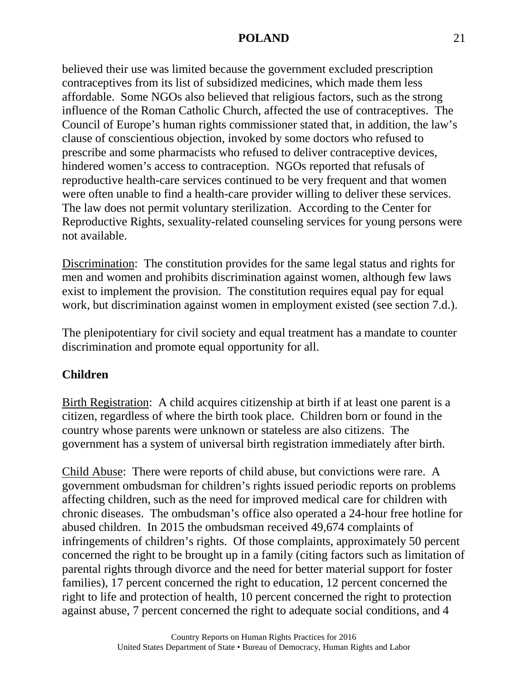believed their use was limited because the government excluded prescription contraceptives from its list of subsidized medicines, which made them less affordable. Some NGOs also believed that religious factors, such as the strong influence of the Roman Catholic Church, affected the use of contraceptives. The Council of Europe's human rights commissioner stated that, in addition, the law's clause of conscientious objection, invoked by some doctors who refused to prescribe and some pharmacists who refused to deliver contraceptive devices, hindered women's access to contraception. NGOs reported that refusals of reproductive health-care services continued to be very frequent and that women were often unable to find a health-care provider willing to deliver these services. The law does not permit voluntary sterilization. According to the Center for Reproductive Rights, sexuality-related counseling services for young persons were not available.

Discrimination: The constitution provides for the same legal status and rights for men and women and prohibits discrimination against women, although few laws exist to implement the provision. The constitution requires equal pay for equal work, but discrimination against women in employment existed (see section 7.d.).

The plenipotentiary for civil society and equal treatment has a mandate to counter discrimination and promote equal opportunity for all.

### **Children**

Birth Registration: A child acquires citizenship at birth if at least one parent is a citizen, regardless of where the birth took place. Children born or found in the country whose parents were unknown or stateless are also citizens. The government has a system of universal birth registration immediately after birth.

Child Abuse: There were reports of child abuse, but convictions were rare. A government ombudsman for children's rights issued periodic reports on problems affecting children, such as the need for improved medical care for children with chronic diseases. The ombudsman's office also operated a 24-hour free hotline for abused children. In 2015 the ombudsman received 49,674 complaints of infringements of children's rights. Of those complaints, approximately 50 percent concerned the right to be brought up in a family (citing factors such as limitation of parental rights through divorce and the need for better material support for foster families), 17 percent concerned the right to education, 12 percent concerned the right to life and protection of health, 10 percent concerned the right to protection against abuse, 7 percent concerned the right to adequate social conditions, and 4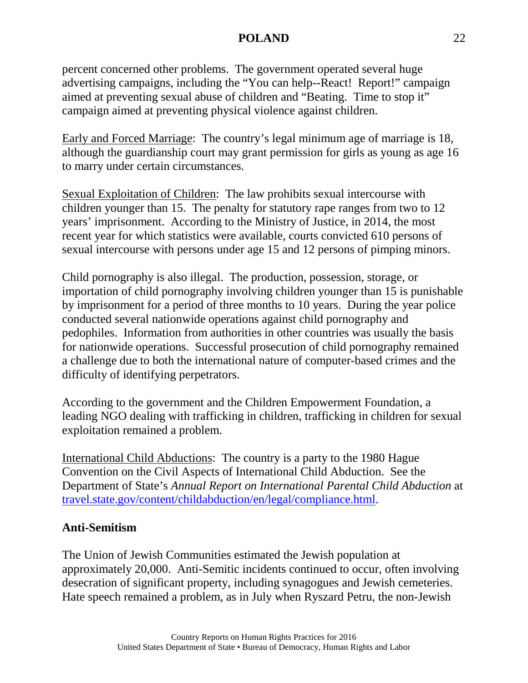percent concerned other problems. The government operated several huge advertising campaigns, including the "You can help--React! Report!" campaign aimed at preventing sexual abuse of children and "Beating. Time to stop it" campaign aimed at preventing physical violence against children.

Early and Forced Marriage: The country's legal minimum age of marriage is 18, although the guardianship court may grant permission for girls as young as age 16 to marry under certain circumstances.

Sexual Exploitation of Children: The law prohibits sexual intercourse with children younger than 15. The penalty for statutory rape ranges from two to 12 years' imprisonment. According to the Ministry of Justice, in 2014, the most recent year for which statistics were available, courts convicted 610 persons of sexual intercourse with persons under age 15 and 12 persons of pimping minors.

Child pornography is also illegal. The production, possession, storage, or importation of child pornography involving children younger than 15 is punishable by imprisonment for a period of three months to 10 years. During the year police conducted several nationwide operations against child pornography and pedophiles. Information from authorities in other countries was usually the basis for nationwide operations. Successful prosecution of child pornography remained a challenge due to both the international nature of computer-based crimes and the difficulty of identifying perpetrators.

According to the government and the Children Empowerment Foundation, a leading NGO dealing with trafficking in children, trafficking in children for sexual exploitation remained a problem.

International Child Abductions: The country is a party to the 1980 Hague Convention on the Civil Aspects of International Child Abduction. See the Department of State's *Annual Report on International Parental Child Abduction* at [travel.state.gov/content/childabduction/en/legal/compliance.html.](https://travel.state.gov/content/childabduction/en/legal/compliance.html)

#### **Anti-Semitism**

The Union of Jewish Communities estimated the Jewish population at approximately 20,000. Anti-Semitic incidents continued to occur, often involving desecration of significant property, including synagogues and Jewish cemeteries. Hate speech remained a problem, as in July when Ryszard Petru, the non-Jewish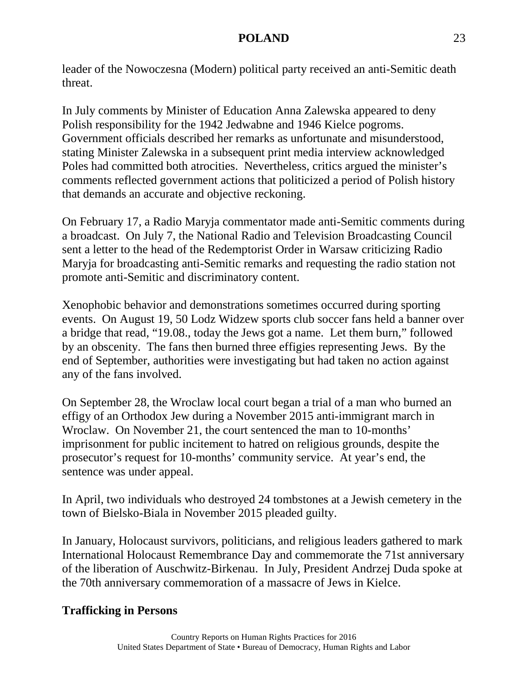leader of the Nowoczesna (Modern) political party received an anti-Semitic death threat.

In July comments by Minister of Education Anna Zalewska appeared to deny Polish responsibility for the 1942 Jedwabne and 1946 Kielce pogroms. Government officials described her remarks as unfortunate and misunderstood, stating Minister Zalewska in a subsequent print media interview acknowledged Poles had committed both atrocities. Nevertheless, critics argued the minister's comments reflected government actions that politicized a period of Polish history that demands an accurate and objective reckoning.

On February 17, a Radio Maryja commentator made anti-Semitic comments during a broadcast. On July 7, the National Radio and Television Broadcasting Council sent a letter to the head of the Redemptorist Order in Warsaw criticizing Radio Maryja for broadcasting anti-Semitic remarks and requesting the radio station not promote anti-Semitic and discriminatory content.

Xenophobic behavior and demonstrations sometimes occurred during sporting events. On August 19, 50 Lodz Widzew sports club soccer fans held a banner over a bridge that read, "19.08., today the Jews got a name. Let them burn," followed by an obscenity. The fans then burned three effigies representing Jews. By the end of September, authorities were investigating but had taken no action against any of the fans involved.

On September 28, the Wroclaw local court began a trial of a man who burned an effigy of an Orthodox Jew during a November 2015 anti-immigrant march in Wroclaw. On November 21, the court sentenced the man to 10-months' imprisonment for public incitement to hatred on religious grounds, despite the prosecutor's request for 10-months' community service. At year's end, the sentence was under appeal.

In April, two individuals who destroyed 24 tombstones at a Jewish cemetery in the town of Bielsko-Biala in November 2015 pleaded guilty.

In January, Holocaust survivors, politicians, and religious leaders gathered to mark International Holocaust Remembrance Day and commemorate the 71st anniversary of the liberation of Auschwitz-Birkenau. In July, President Andrzej Duda spoke at the 70th anniversary commemoration of a massacre of Jews in Kielce.

### **Trafficking in Persons**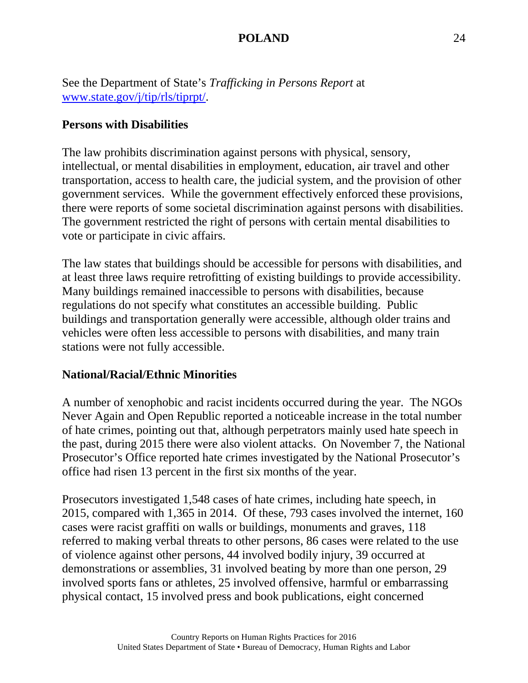See the Department of State's *Trafficking in Persons Report* at [www.state.gov/j/tip/rls/tiprpt/.](http://www.state.gov/j/tip/rls/tiprpt/)

### **Persons with Disabilities**

The law prohibits discrimination against persons with physical, sensory, intellectual, or mental disabilities in employment, education, air travel and other transportation, access to health care, the judicial system, and the provision of other government services. While the government effectively enforced these provisions, there were reports of some societal discrimination against persons with disabilities. The government restricted the right of persons with certain mental disabilities to vote or participate in civic affairs.

The law states that buildings should be accessible for persons with disabilities, and at least three laws require retrofitting of existing buildings to provide accessibility. Many buildings remained inaccessible to persons with disabilities, because regulations do not specify what constitutes an accessible building. Public buildings and transportation generally were accessible, although older trains and vehicles were often less accessible to persons with disabilities, and many train stations were not fully accessible.

#### **National/Racial/Ethnic Minorities**

A number of xenophobic and racist incidents occurred during the year. The NGOs Never Again and Open Republic reported a noticeable increase in the total number of hate crimes, pointing out that, although perpetrators mainly used hate speech in the past, during 2015 there were also violent attacks. On November 7, the National Prosecutor's Office reported hate crimes investigated by the National Prosecutor's office had risen 13 percent in the first six months of the year.

Prosecutors investigated 1,548 cases of hate crimes, including hate speech, in 2015, compared with 1,365 in 2014. Of these, 793 cases involved the internet, 160 cases were racist graffiti on walls or buildings, monuments and graves, 118 referred to making verbal threats to other persons, 86 cases were related to the use of violence against other persons, 44 involved bodily injury, 39 occurred at demonstrations or assemblies, 31 involved beating by more than one person, 29 involved sports fans or athletes, 25 involved offensive, harmful or embarrassing physical contact, 15 involved press and book publications, eight concerned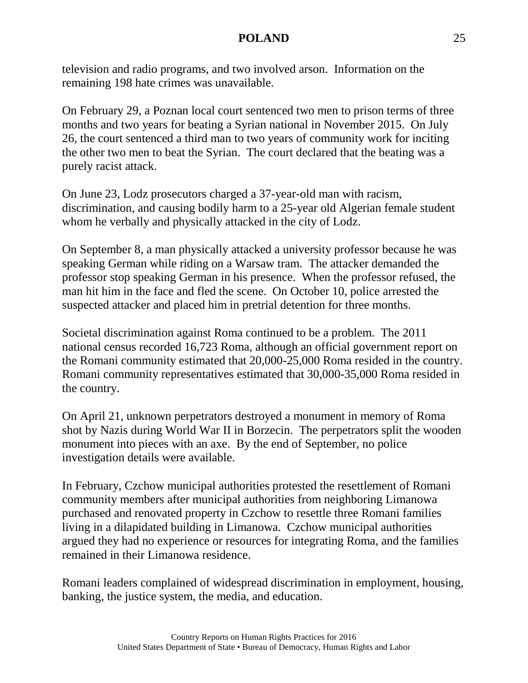television and radio programs, and two involved arson. Information on the remaining 198 hate crimes was unavailable.

On February 29, a Poznan local court sentenced two men to prison terms of three months and two years for beating a Syrian national in November 2015. On July 26, the court sentenced a third man to two years of community work for inciting the other two men to beat the Syrian. The court declared that the beating was a purely racist attack.

On June 23, Lodz prosecutors charged a 37-year-old man with racism, discrimination, and causing bodily harm to a 25-year old Algerian female student whom he verbally and physically attacked in the city of Lodz.

On September 8, a man physically attacked a university professor because he was speaking German while riding on a Warsaw tram. The attacker demanded the professor stop speaking German in his presence. When the professor refused, the man hit him in the face and fled the scene. On October 10, police arrested the suspected attacker and placed him in pretrial detention for three months.

Societal discrimination against Roma continued to be a problem. The 2011 national census recorded 16,723 Roma, although an official government report on the Romani community estimated that 20,000-25,000 Roma resided in the country. Romani community representatives estimated that 30,000-35,000 Roma resided in the country.

On April 21, unknown perpetrators destroyed a monument in memory of Roma shot by Nazis during World War II in Borzecin. The perpetrators split the wooden monument into pieces with an axe. By the end of September, no police investigation details were available.

In February, Czchow municipal authorities protested the resettlement of Romani community members after municipal authorities from neighboring Limanowa purchased and renovated property in Czchow to resettle three Romani families living in a dilapidated building in Limanowa. Czchow municipal authorities argued they had no experience or resources for integrating Roma, and the families remained in their Limanowa residence.

Romani leaders complained of widespread discrimination in employment, housing, banking, the justice system, the media, and education.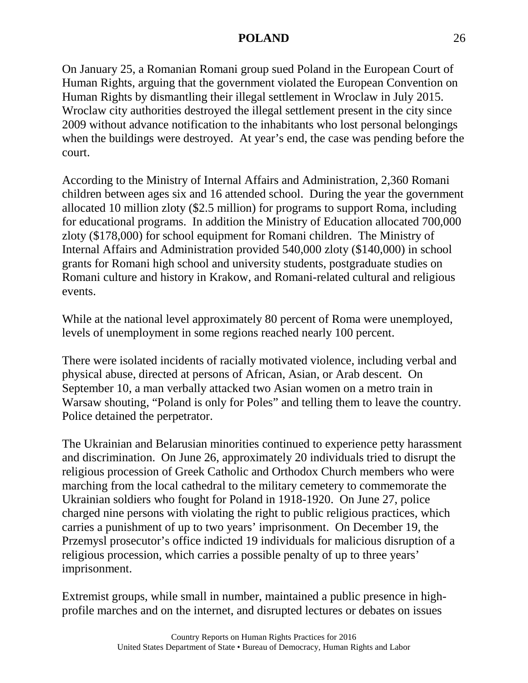On January 25, a Romanian Romani group sued Poland in the European Court of Human Rights, arguing that the government violated the European Convention on Human Rights by dismantling their illegal settlement in Wroclaw in July 2015. Wroclaw city authorities destroyed the illegal settlement present in the city since 2009 without advance notification to the inhabitants who lost personal belongings when the buildings were destroyed. At year's end, the case was pending before the court.

According to the Ministry of Internal Affairs and Administration, 2,360 Romani children between ages six and 16 attended school. During the year the government allocated 10 million zloty (\$2.5 million) for programs to support Roma, including for educational programs. In addition the Ministry of Education allocated 700,000 zloty (\$178,000) for school equipment for Romani children. The Ministry of Internal Affairs and Administration provided 540,000 zloty (\$140,000) in school grants for Romani high school and university students, postgraduate studies on Romani culture and history in Krakow, and Romani-related cultural and religious events.

While at the national level approximately 80 percent of Roma were unemployed, levels of unemployment in some regions reached nearly 100 percent.

There were isolated incidents of racially motivated violence, including verbal and physical abuse, directed at persons of African, Asian, or Arab descent. On September 10, a man verbally attacked two Asian women on a metro train in Warsaw shouting, "Poland is only for Poles" and telling them to leave the country. Police detained the perpetrator.

The Ukrainian and Belarusian minorities continued to experience petty harassment and discrimination. On June 26, approximately 20 individuals tried to disrupt the religious procession of Greek Catholic and Orthodox Church members who were marching from the local cathedral to the military cemetery to commemorate the Ukrainian soldiers who fought for Poland in 1918-1920. On June 27, police charged nine persons with violating the right to public religious practices, which carries a punishment of up to two years' imprisonment. On December 19, the Przemysl prosecutor's office indicted 19 individuals for malicious disruption of a religious procession, which carries a possible penalty of up to three years' imprisonment.

Extremist groups, while small in number, maintained a public presence in highprofile marches and on the internet, and disrupted lectures or debates on issues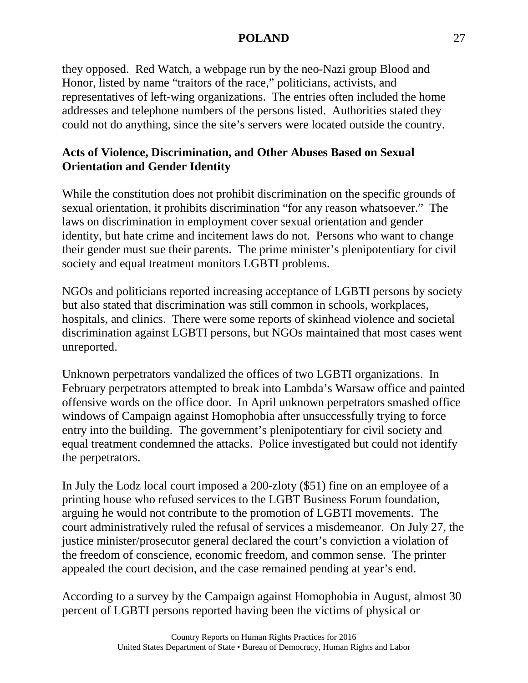they opposed. Red Watch, a webpage run by the neo-Nazi group Blood and Honor, listed by name "traitors of the race," politicians, activists, and representatives of left-wing organizations. The entries often included the home addresses and telephone numbers of the persons listed. Authorities stated they could not do anything, since the site's servers were located outside the country.

### **Acts of Violence, Discrimination, and Other Abuses Based on Sexual Orientation and Gender Identity**

While the constitution does not prohibit discrimination on the specific grounds of sexual orientation, it prohibits discrimination "for any reason whatsoever." The laws on discrimination in employment cover sexual orientation and gender identity, but hate crime and incitement laws do not. Persons who want to change their gender must sue their parents. The prime minister's plenipotentiary for civil society and equal treatment monitors LGBTI problems.

NGOs and politicians reported increasing acceptance of LGBTI persons by society but also stated that discrimination was still common in schools, workplaces, hospitals, and clinics. There were some reports of skinhead violence and societal discrimination against LGBTI persons, but NGOs maintained that most cases went unreported.

Unknown perpetrators vandalized the offices of two LGBTI organizations. In February perpetrators attempted to break into Lambda's Warsaw office and painted offensive words on the office door. In April unknown perpetrators smashed office windows of Campaign against Homophobia after unsuccessfully trying to force entry into the building. The government's plenipotentiary for civil society and equal treatment condemned the attacks. Police investigated but could not identify the perpetrators.

In July the Lodz local court imposed a 200-zloty (\$51) fine on an employee of a printing house who refused services to the LGBT Business Forum foundation, arguing he would not contribute to the promotion of LGBTI movements. The court administratively ruled the refusal of services a misdemeanor. On July 27, the justice minister/prosecutor general declared the court's conviction a violation of the freedom of conscience, economic freedom, and common sense. The printer appealed the court decision, and the case remained pending at year's end.

According to a survey by the Campaign against Homophobia in August, almost 30 percent of LGBTI persons reported having been the victims of physical or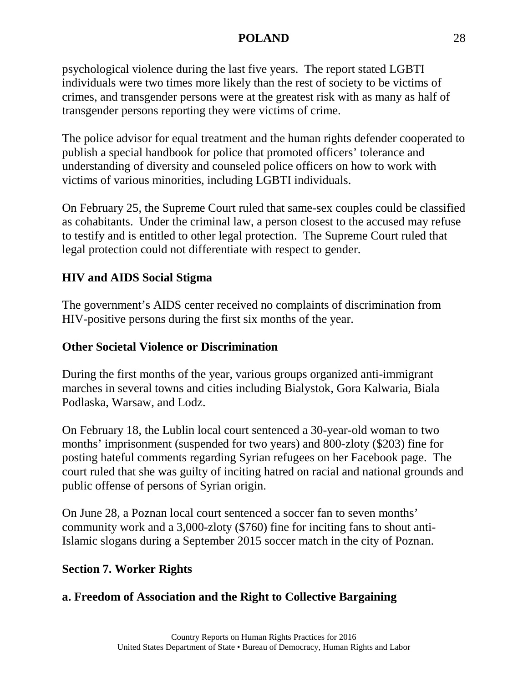psychological violence during the last five years. The report stated LGBTI individuals were two times more likely than the rest of society to be victims of crimes, and transgender persons were at the greatest risk with as many as half of transgender persons reporting they were victims of crime.

The police advisor for equal treatment and the human rights defender cooperated to publish a special handbook for police that promoted officers' tolerance and understanding of diversity and counseled police officers on how to work with victims of various minorities, including LGBTI individuals.

On February 25, the Supreme Court ruled that same-sex couples could be classified as cohabitants. Under the criminal law, a person closest to the accused may refuse to testify and is entitled to other legal protection. The Supreme Court ruled that legal protection could not differentiate with respect to gender.

### **HIV and AIDS Social Stigma**

The government's AIDS center received no complaints of discrimination from HIV-positive persons during the first six months of the year.

### **Other Societal Violence or Discrimination**

During the first months of the year, various groups organized anti-immigrant marches in several towns and cities including Bialystok, Gora Kalwaria, Biala Podlaska, Warsaw, and Lodz.

On February 18, the Lublin local court sentenced a 30-year-old woman to two months' imprisonment (suspended for two years) and 800-zloty (\$203) fine for posting hateful comments regarding Syrian refugees on her Facebook page. The court ruled that she was guilty of inciting hatred on racial and national grounds and public offense of persons of Syrian origin.

On June 28, a Poznan local court sentenced a soccer fan to seven months' community work and a 3,000-zloty (\$760) fine for inciting fans to shout anti-Islamic slogans during a September 2015 soccer match in the city of Poznan.

### **Section 7. Worker Rights**

### **a. Freedom of Association and the Right to Collective Bargaining**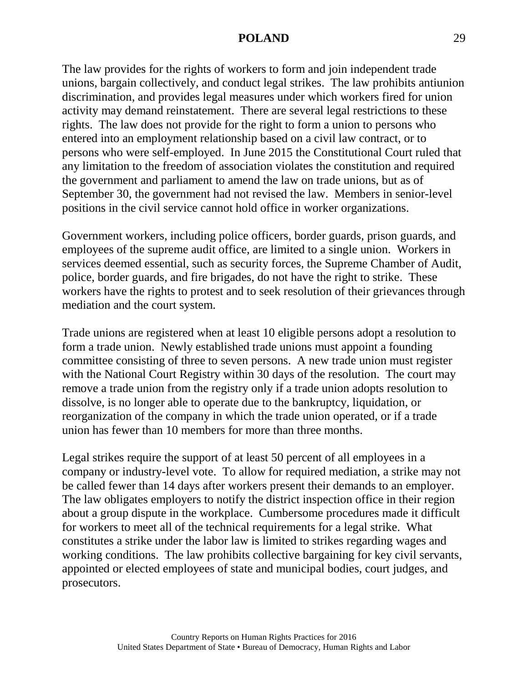The law provides for the rights of workers to form and join independent trade unions, bargain collectively, and conduct legal strikes. The law prohibits antiunion discrimination, and provides legal measures under which workers fired for union activity may demand reinstatement. There are several legal restrictions to these rights. The law does not provide for the right to form a union to persons who entered into an employment relationship based on a civil law contract, or to persons who were self-employed. In June 2015 the Constitutional Court ruled that any limitation to the freedom of association violates the constitution and required the government and parliament to amend the law on trade unions, but as of September 30, the government had not revised the law. Members in senior-level positions in the civil service cannot hold office in worker organizations.

Government workers, including police officers, border guards, prison guards, and employees of the supreme audit office, are limited to a single union. Workers in services deemed essential, such as security forces, the Supreme Chamber of Audit, police, border guards, and fire brigades, do not have the right to strike. These workers have the rights to protest and to seek resolution of their grievances through mediation and the court system.

Trade unions are registered when at least 10 eligible persons adopt a resolution to form a trade union. Newly established trade unions must appoint a founding committee consisting of three to seven persons. A new trade union must register with the National Court Registry within 30 days of the resolution. The court may remove a trade union from the registry only if a trade union adopts resolution to dissolve, is no longer able to operate due to the bankruptcy, liquidation, or reorganization of the company in which the trade union operated, or if a trade union has fewer than 10 members for more than three months.

Legal strikes require the support of at least 50 percent of all employees in a company or industry-level vote. To allow for required mediation, a strike may not be called fewer than 14 days after workers present their demands to an employer. The law obligates employers to notify the district inspection office in their region about a group dispute in the workplace. Cumbersome procedures made it difficult for workers to meet all of the technical requirements for a legal strike. What constitutes a strike under the labor law is limited to strikes regarding wages and working conditions. The law prohibits collective bargaining for key civil servants, appointed or elected employees of state and municipal bodies, court judges, and prosecutors.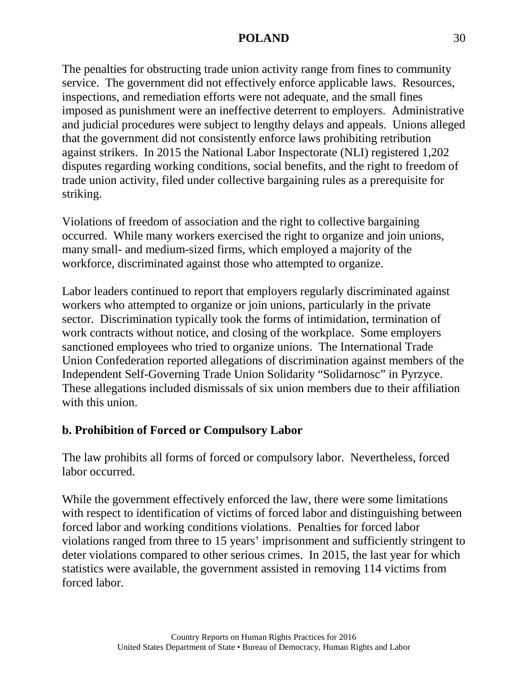The penalties for obstructing trade union activity range from fines to community service. The government did not effectively enforce applicable laws. Resources, inspections, and remediation efforts were not adequate, and the small fines imposed as punishment were an ineffective deterrent to employers. Administrative and judicial procedures were subject to lengthy delays and appeals. Unions alleged that the government did not consistently enforce laws prohibiting retribution against strikers. In 2015 the National Labor Inspectorate (NLI) registered 1,202 disputes regarding working conditions, social benefits, and the right to freedom of trade union activity, filed under collective bargaining rules as a prerequisite for striking.

Violations of freedom of association and the right to collective bargaining occurred. While many workers exercised the right to organize and join unions, many small- and medium-sized firms, which employed a majority of the workforce, discriminated against those who attempted to organize.

Labor leaders continued to report that employers regularly discriminated against workers who attempted to organize or join unions, particularly in the private sector. Discrimination typically took the forms of intimidation, termination of work contracts without notice, and closing of the workplace. Some employers sanctioned employees who tried to organize unions. The International Trade Union Confederation reported allegations of discrimination against members of the Independent Self-Governing Trade Union Solidarity "Solidarnosc" in Pyrzyce. These allegations included dismissals of six union members due to their affiliation with this union.

## **b. Prohibition of Forced or Compulsory Labor**

The law prohibits all forms of forced or compulsory labor. Nevertheless, forced labor occurred.

While the government effectively enforced the law, there were some limitations with respect to identification of victims of forced labor and distinguishing between forced labor and working conditions violations. Penalties for forced labor violations ranged from three to 15 years' imprisonment and sufficiently stringent to deter violations compared to other serious crimes. In 2015, the last year for which statistics were available, the government assisted in removing 114 victims from forced labor.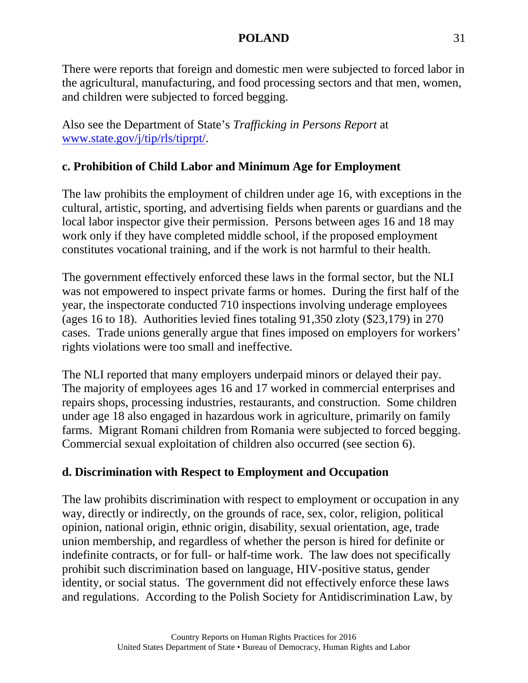There were reports that foreign and domestic men were subjected to forced labor in the agricultural, manufacturing, and food processing sectors and that men, women, and children were subjected to forced begging.

Also see the Department of State's *Trafficking in Persons Report* at [www.state.gov/j/tip/rls/tiprpt/.](http://www.state.gov/j/tip/rls/tiprpt/)

# **c. Prohibition of Child Labor and Minimum Age for Employment**

The law prohibits the employment of children under age 16, with exceptions in the cultural, artistic, sporting, and advertising fields when parents or guardians and the local labor inspector give their permission. Persons between ages 16 and 18 may work only if they have completed middle school, if the proposed employment constitutes vocational training, and if the work is not harmful to their health.

The government effectively enforced these laws in the formal sector, but the NLI was not empowered to inspect private farms or homes. During the first half of the year, the inspectorate conducted 710 inspections involving underage employees (ages 16 to 18). Authorities levied fines totaling 91,350 zloty (\$23,179) in 270 cases. Trade unions generally argue that fines imposed on employers for workers' rights violations were too small and ineffective.

The NLI reported that many employers underpaid minors or delayed their pay. The majority of employees ages 16 and 17 worked in commercial enterprises and repairs shops, processing industries, restaurants, and construction. Some children under age 18 also engaged in hazardous work in agriculture, primarily on family farms. Migrant Romani children from Romania were subjected to forced begging. Commercial sexual exploitation of children also occurred (see section 6).

## **d. Discrimination with Respect to Employment and Occupation**

The law prohibits discrimination with respect to employment or occupation in any way, directly or indirectly, on the grounds of race, sex, color, religion, political opinion, national origin, ethnic origin, disability, sexual orientation, age, trade union membership, and regardless of whether the person is hired for definite or indefinite contracts, or for full- or half-time work. The law does not specifically prohibit such discrimination based on language, HIV-positive status, gender identity, or social status. The government did not effectively enforce these laws and regulations. According to the Polish Society for Antidiscrimination Law, by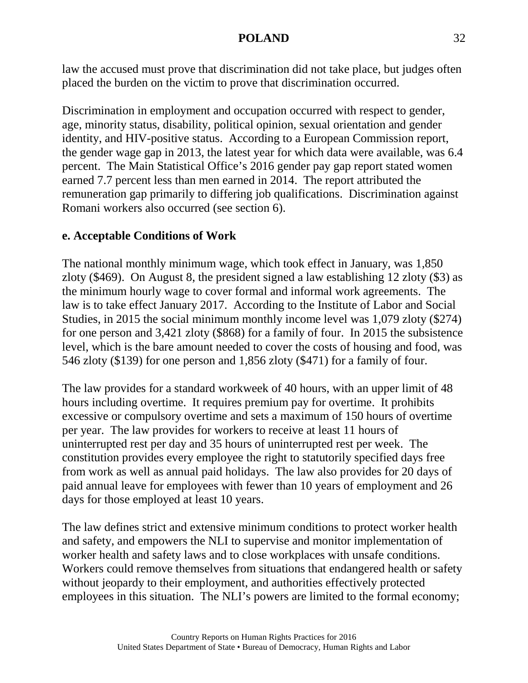law the accused must prove that discrimination did not take place, but judges often placed the burden on the victim to prove that discrimination occurred.

Discrimination in employment and occupation occurred with respect to gender, age, minority status, disability, political opinion, sexual orientation and gender identity, and HIV-positive status. According to a European Commission report, the gender wage gap in 2013, the latest year for which data were available, was 6.4 percent. The Main Statistical Office's 2016 gender pay gap report stated women earned 7.7 percent less than men earned in 2014. The report attributed the remuneration gap primarily to differing job qualifications. Discrimination against Romani workers also occurred (see section 6).

### **e. Acceptable Conditions of Work**

The national monthly minimum wage, which took effect in January, was 1,850 zloty (\$469). On August 8, the president signed a law establishing 12 zloty (\$3) as the minimum hourly wage to cover formal and informal work agreements. The law is to take effect January 2017. According to the Institute of Labor and Social Studies, in 2015 the social minimum monthly income level was 1,079 zloty (\$274) for one person and 3,421 zloty (\$868) for a family of four. In 2015 the subsistence level, which is the bare amount needed to cover the costs of housing and food, was 546 zloty (\$139) for one person and 1,856 zloty (\$471) for a family of four.

The law provides for a standard workweek of 40 hours, with an upper limit of 48 hours including overtime. It requires premium pay for overtime. It prohibits excessive or compulsory overtime and sets a maximum of 150 hours of overtime per year. The law provides for workers to receive at least 11 hours of uninterrupted rest per day and 35 hours of uninterrupted rest per week. The constitution provides every employee the right to statutorily specified days free from work as well as annual paid holidays. The law also provides for 20 days of paid annual leave for employees with fewer than 10 years of employment and 26 days for those employed at least 10 years.

The law defines strict and extensive minimum conditions to protect worker health and safety, and empowers the NLI to supervise and monitor implementation of worker health and safety laws and to close workplaces with unsafe conditions. Workers could remove themselves from situations that endangered health or safety without jeopardy to their employment, and authorities effectively protected employees in this situation. The NLI's powers are limited to the formal economy;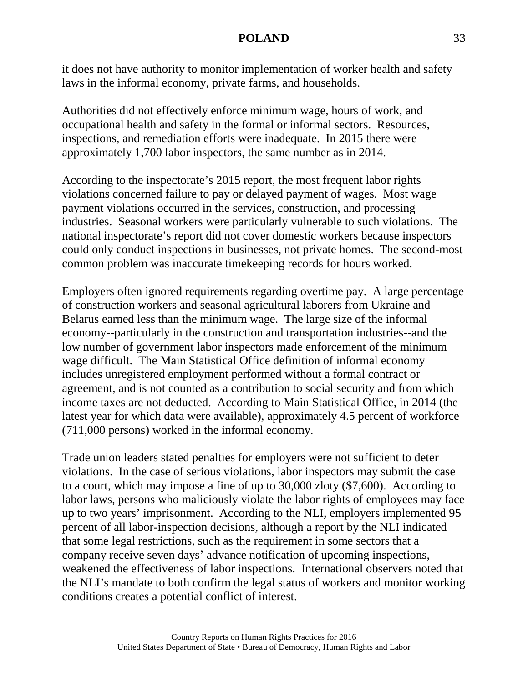it does not have authority to monitor implementation of worker health and safety laws in the informal economy, private farms, and households.

Authorities did not effectively enforce minimum wage, hours of work, and occupational health and safety in the formal or informal sectors. Resources, inspections, and remediation efforts were inadequate. In 2015 there were approximately 1,700 labor inspectors, the same number as in 2014.

According to the inspectorate's 2015 report, the most frequent labor rights violations concerned failure to pay or delayed payment of wages. Most wage payment violations occurred in the services, construction, and processing industries. Seasonal workers were particularly vulnerable to such violations. The national inspectorate's report did not cover domestic workers because inspectors could only conduct inspections in businesses, not private homes. The second-most common problem was inaccurate timekeeping records for hours worked.

Employers often ignored requirements regarding overtime pay. A large percentage of construction workers and seasonal agricultural laborers from Ukraine and Belarus earned less than the minimum wage. The large size of the informal economy--particularly in the construction and transportation industries--and the low number of government labor inspectors made enforcement of the minimum wage difficult. The Main Statistical Office definition of informal economy includes unregistered employment performed without a formal contract or agreement, and is not counted as a contribution to social security and from which income taxes are not deducted. According to Main Statistical Office, in 2014 (the latest year for which data were available), approximately 4.5 percent of workforce (711,000 persons) worked in the informal economy.

Trade union leaders stated penalties for employers were not sufficient to deter violations. In the case of serious violations, labor inspectors may submit the case to a court, which may impose a fine of up to 30,000 zloty (\$7,600). According to labor laws, persons who maliciously violate the labor rights of employees may face up to two years' imprisonment. According to the NLI, employers implemented 95 percent of all labor-inspection decisions, although a report by the NLI indicated that some legal restrictions, such as the requirement in some sectors that a company receive seven days' advance notification of upcoming inspections, weakened the effectiveness of labor inspections. International observers noted that the NLI's mandate to both confirm the legal status of workers and monitor working conditions creates a potential conflict of interest.